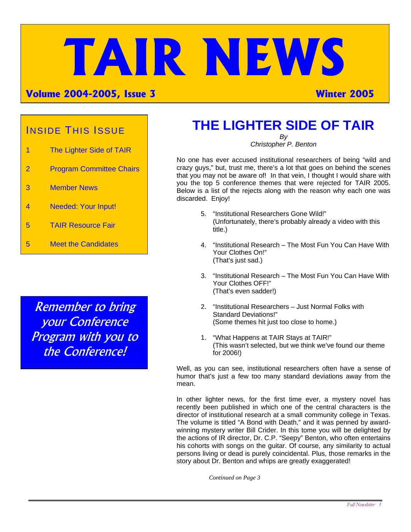# **TAIR NEWS**

#### **Volume 2004-2005, Issue 3 Winter 2005**

#### INSIDE THIS ISSUE

- 1 The Lighter Side of TAIR
- 2 Program Committee Chairs
- 3 Member News
- 4 Needed: Your Input!
- 5 TAIR Resource Fair
- 5 Meet the Candidates

Remember to bring your Conference Program with you to the Conference!

# **THE LIGHTER SIDE OF TAIR**

*By Christopher P. Benton* 

No one has ever accused institutional researchers of being "wild and crazy guys," but, trust me, there's a lot that goes on behind the scenes that you may not be aware of! In that vein, I thought I would share with you the top 5 conference themes that were rejected for TAIR 2005. Below is a list of the rejects along with the reason why each one was discarded. Enjoy!

- 5. "Institutional Researchers Gone Wild!" (Unfortunately, there's probably already a video with this title.)
- 4. "Institutional Research The Most Fun You Can Have With Your Clothes On!" (That's just sad.)
- 3. "Institutional Research The Most Fun You Can Have With Your Clothes OFF!" (That's even sadder!)
- 2. "Institutional Researchers Just Normal Folks with Standard Deviations!" (Some themes hit just too close to home.)
- 1. "What Happens at TAIR Stays at TAIR!" (This wasn't selected, but we think we've found our theme for 2006!)

Well, as you can see, institutional researchers often have a sense of humor that's just a few too many standard deviations away from the mean.

In other lighter news, for the first time ever, a mystery novel has recently been published in which one of the central characters is the director of institutional research at a small community college in Texas. The volume is titled "A Bond with Death," and it was penned by awardwinning mystery writer Bill Crider. In this tome you will be delighted by the actions of IR director, Dr. C.P. "Seepy" Benton, who often entertains his cohorts with songs on the guitar. Of course, any similarity to actual persons living or dead is purely coincidental. Plus, those remarks in the story about Dr. Benton and whips are greatly exaggerated!

*Continued on Page 3*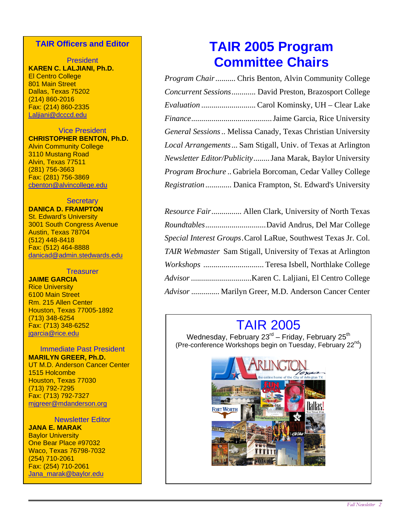#### **TAIR Officers and Editor**

President **KAREN C. LALJIANI, Ph.D.** El Centro College 801 Main Street Dallas, Texas 75202 (214) 860-2016 Fax: (214) 860-2335 Laljiani@dcccd.edu

Vice President **CHRISTOPHER BENTON, Ph.D.** Alvin Community College 3110 Mustang Road Alvin, Texas 77511 (281) 756-3663 Fax: (281) 756-3869 cbenton@alvincollege.edu

#### **Secretary**

**DANICA D. FRAMPTON** St. Edward's University 3001 South Congress Avenue Austin, Texas 78704 (512) 448-8418 Fax: (512) 464-8888 danicad@admin.stedwards.edu

#### **Treasurer**

**JAIME GARCIA**  Rice University 6100 Main Street Rm. 215 Allen Center Houston, Texas 77005-1892 (713) 348-6254 Fax: (713) 348-6252 jgarcia@rice.edu

Immediate Past President **MARILYN GREER, Ph.D.**  UT M.D. Anderson Cancer Center 1515 Holcombe Houston, Texas 77030 (713) 792-7295 Fax: (713) 792-7327 mjgreer@mdanderson.org

Newsletter Editor

**JANA E. MARAK Baylor University** One Bear Place #97032 Waco, Texas 76798-7032 (254) 710-2061 Fax: (254) 710-2061 Jana\_marak@baylor.edu

# **TAIR 2005 Program Committee Chairs**

| <i>Program Chair</i> Chris Benton, Alvin Community College         |
|--------------------------------------------------------------------|
| Concurrent Sessions David Preston, Brazosport College              |
|                                                                    |
|                                                                    |
| General Sessions Melissa Canady, Texas Christian University        |
| <i>Local Arrangements</i> Sam Stigall, Univ. of Texas at Arlington |
| Newsletter Editor/Publicity Jana Marak, Baylor University          |
| Program Brochure  Gabriela Borcoman, Cedar Valley College          |
| <i>Registration</i> Danica Frampton, St. Edward's University       |

| Resource Fair Allen Clark, University of North Texas           |
|----------------------------------------------------------------|
|                                                                |
| Special Interest Groups. Carol LaRue, Southwest Texas Jr. Col. |
| TAIR Webmaster Sam Stigall, University of Texas at Arlington   |
|                                                                |
|                                                                |
| Advisor  Marilyn Greer, M.D. Anderson Cancer Center            |

## TAIR 2005

Wednesday, February  $23^{\text{rd}}$  – Friday, February  $25^{\text{th}}$ (Pre-conference Workshops begin on Tuesday, February 22nd)

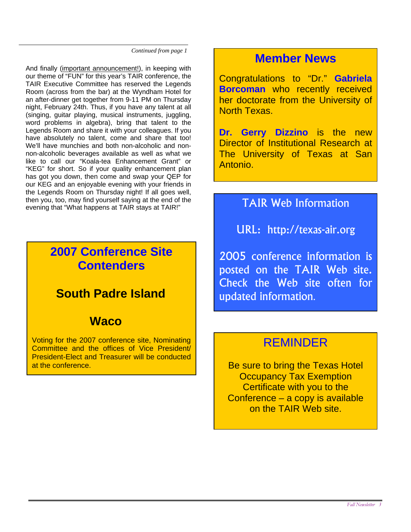*Continued from page 1* 

And finally (important announcement!), in keeping with our theme of "FUN" for this year's TAIR conference, the TAIR Executive Committee has reserved the Legends Room (across from the bar) at the Wyndham Hotel for an after-dinner get together from 9-11 PM on Thursday night, February 24th. Thus, if you have any talent at all (singing, guitar playing, musical instruments, juggling, word problems in algebra), bring that talent to the Legends Room and share it with your colleagues. If you have absolutely no talent, come and share that too! We'll have munchies and both non-alcoholic and nonnon-alcoholic beverages available as well as what we like to call our "Koala-tea Enhancement Grant" or "KEG" for short. So if your quality enhancement plan has got you down, then come and swap your QEP for our KEG and an enjoyable evening with your friends in the Legends Room on Thursday night! If all goes well, then you, too, may find yourself saying at the end of the then you, too, may find yourself saying at the end of the **TAIR Web Information**<br>evening that "What happens at TAIR stays at TAIR!"

#### **2007 Conference Site Contenders**

## **South Padre Island**

#### **Waco**

Voting for the 2007 conference site, Nominating Committee and the offices of Vice President/ President-Elect and Treasurer will be conducted at the conference.

#### **Member News**

Congratulations to "Dr." **Gabriela Borcoman** who recently received her doctorate from the University of North Texas.

**Dr. Gerry Dizzino** is the new Director of Institutional Research at The University of Texas at San Antonio.

URL: http://texas-air.org

2005 conference information is posted on the TAIR Web site. Check the Web site often for updated information.

#### REMINDER

Be sure to bring the Texas Hotel Occupancy Tax Exemption Certificate with you to the Conference – a copy is available on the TAIR Web site.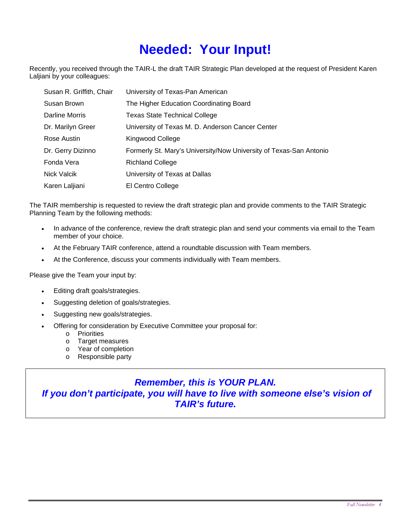# **Needed: Your Input!**

Recently, you received through the TAIR-L the draft TAIR Strategic Plan developed at the request of President Karen Laljiani by your colleagues:

| Susan R. Griffith, Chair | University of Texas-Pan American                                   |
|--------------------------|--------------------------------------------------------------------|
| Susan Brown              | The Higher Education Coordinating Board                            |
| Darline Morris           | <b>Texas State Technical College</b>                               |
| Dr. Marilyn Greer        | University of Texas M. D. Anderson Cancer Center                   |
| Rose Austin              | Kingwood College                                                   |
| Dr. Gerry Dizinno        | Formerly St. Mary's University/Now University of Texas-San Antonio |
| Fonda Vera               | <b>Richland College</b>                                            |
| Nick Valcik              | University of Texas at Dallas                                      |
| Karen Laljiani           | El Centro College                                                  |

The TAIR membership is requested to review the draft strategic plan and provide comments to the TAIR Strategic Planning Team by the following methods:

- In advance of the conference, review the draft strategic plan and send your comments via email to the Team member of your choice.
- At the February TAIR conference, attend a roundtable discussion with Team members.
- At the Conference, discuss your comments individually with Team members.

Please give the Team your input by:

- Editing draft goals/strategies.
- Suggesting deletion of goals/strategies.
- Suggesting new goals/strategies.
- Offering for consideration by Executive Committee your proposal for:
	- o Priorities
	- o Target measures
	- o Year of completion
	- o Responsible party

#### *Remember, this is YOUR PLAN. If you don't participate, you will have to live with someone else's vision of TAIR's future.*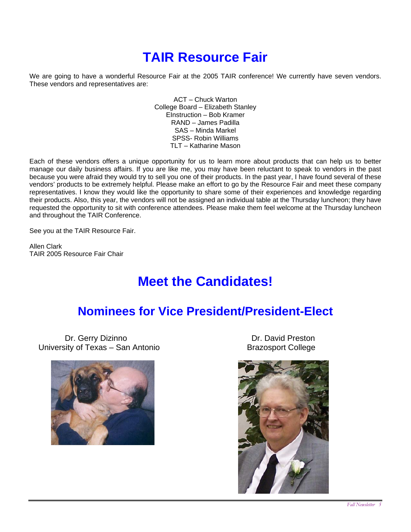# **TAIR Resource Fair**

We are going to have a wonderful Resource Fair at the 2005 TAIR conference! We currently have seven vendors. These vendors and representatives are:

> ACT – Chuck Warton College Board – Elizabeth Stanley EInstruction – Bob Kramer RAND – James Padilla SAS – Minda Markel SPSS- Robin Williams TLT – Katharine Mason

Each of these vendors offers a unique opportunity for us to learn more about products that can help us to better manage our daily business affairs. If you are like me, you may have been reluctant to speak to vendors in the past because you were afraid they would try to sell you one of their products. In the past year, I have found several of these vendors' products to be extremely helpful. Please make an effort to go by the Resource Fair and meet these company representatives. I know they would like the opportunity to share some of their experiences and knowledge regarding their products. Also, this year, the vendors will not be assigned an individual table at the Thursday luncheon; they have requested the opportunity to sit with conference attendees. Please make them feel welcome at the Thursday luncheon and throughout the TAIR Conference.

See you at the TAIR Resource Fair.

Allen Clark TAIR 2005 Resource Fair Chair

# **Meet the Candidates!**

#### **Nominees for Vice President/President-Elect**

Dr. Gerry Dizinno **Dr. David Preston** University of Texas – San Antonio **Brazosport College** 



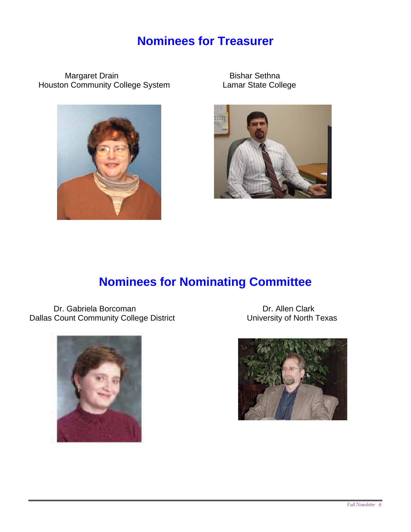## **Nominees for Treasurer**

Margaret Drain Bishar Sethna<br>In Community College System Lamar State College Houston Community College System





## **Nominees for Nominating Committee**

Dr. Gabriela Borcoman Dr. Allen Clark<br>
Count Community College District Count Community College District District District Count Community College D Dallas Count Community College District



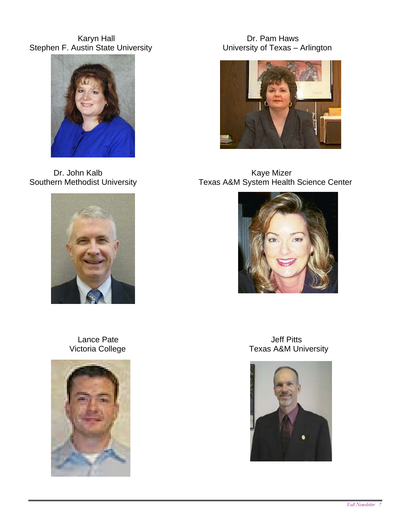Karyn Hall Dr. Pam Haws Stephen F. Austin State University **Example 10 and Stephen F. Austin State University of Texas** – Arlington







Dr. John Kalb **Kaye Mizer** Kaye Mizer Southern Methodist University **TEXAL TEXAS A&M System Health Science Center** 





 Lance Pate Jeff Pitts Texas A&M University